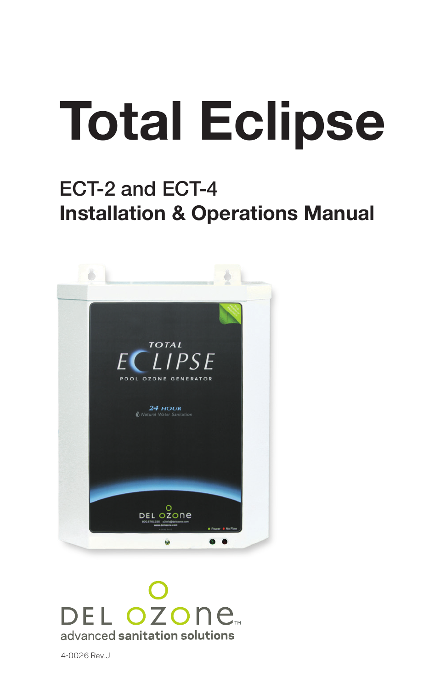# Total Eclipse

# ECT-2 and ECT-4 Installation & Operations Manual



DEL OZONE advanced sanitation solutions

4-0026 Rev.J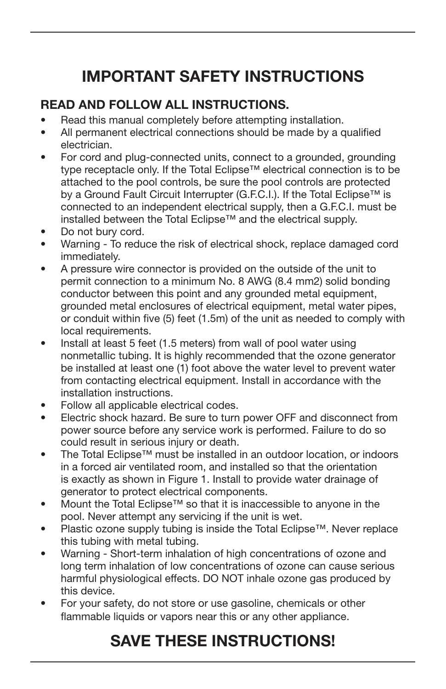# IMPORTANT SAFETY INSTRUCTIONS

## READ AND FOLLOW ALL INSTRUCTIONS.

- Read this manual completely before attempting installation.
- All permanent electrical connections should be made by a qualified electrician.
- For cord and plug-connected units, connect to a grounded, grounding type receptacle only. If the Total Eclipse™ electrical connection is to be attached to the pool controls, be sure the pool controls are protected by a Ground Fault Circuit Interrupter (G.F.C.I.). If the Total Eclipse™ is connected to an independent electrical supply, then a G.F.C.I. must be installed between the Total Eclipse™ and the electrical supply.
- Do not bury cord.
- Warning To reduce the risk of electrical shock, replace damaged cord immediately.
- A pressure wire connector is provided on the outside of the unit to permit connection to a minimum No. 8 AWG (8.4 mm2) solid bonding conductor between this point and any grounded metal equipment, grounded metal enclosures of electrical equipment, metal water pipes, or conduit within five (5) feet (1.5m) of the unit as needed to comply with local requirements.
- Install at least 5 feet (1.5 meters) from wall of pool water using nonmetallic tubing. It is highly recommended that the ozone generator be installed at least one (1) foot above the water level to prevent water from contacting electrical equipment. Install in accordance with the installation instructions.
- Follow all applicable electrical codes.
- Electric shock hazard. Be sure to turn power OFF and disconnect from power source before any service work is performed. Failure to do so could result in serious injury or death.
- The Total Eclipse™ must be installed in an outdoor location, or indoors in a forced air ventilated room, and installed so that the orientation is exactly as shown in Figure 1. Install to provide water drainage of generator to protect electrical components.
- Mount the Total Eclipse™ so that it is inaccessible to anyone in the pool. Never attempt any servicing if the unit is wet.
- Plastic ozone supply tubing is inside the Total Eclipse™. Never replace this tubing with metal tubing.
- Warning Short-term inhalation of high concentrations of ozone and long term inhalation of low concentrations of ozone can cause serious harmful physiological effects. DO NOT inhale ozone gas produced by this device.
- For your safety, do not store or use gasoline, chemicals or other flammable liquids or vapors near this or any other appliance.

# SAVE THESE INSTRUCTIONS!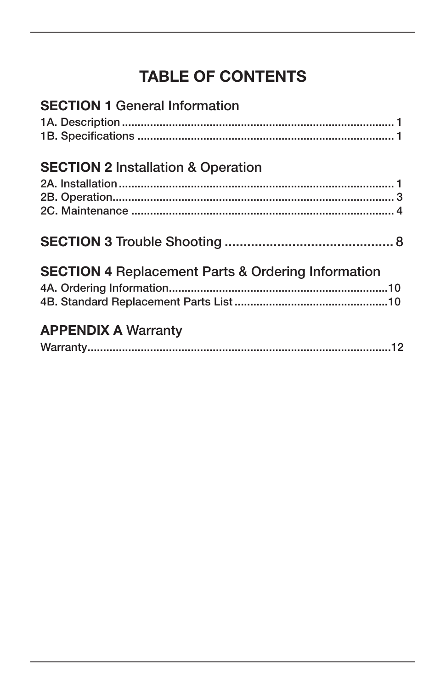# **TABLE OF CONTENTS**

| <b>SECTION 1 General Information</b>                          |  |
|---------------------------------------------------------------|--|
|                                                               |  |
|                                                               |  |
| <b>SECTION 2 Installation &amp; Operation</b>                 |  |
|                                                               |  |
|                                                               |  |
|                                                               |  |
|                                                               |  |
| <b>SECTION 4 Replacement Parts &amp; Ordering Information</b> |  |
|                                                               |  |
|                                                               |  |
| <b>APPENDIX A Warranty</b>                                    |  |
|                                                               |  |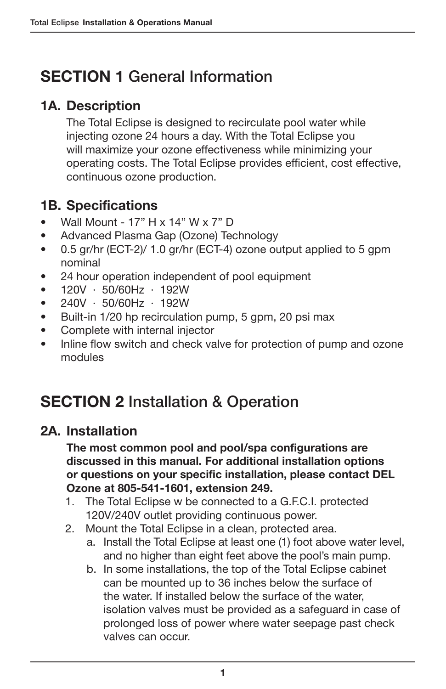# SECTION 1 General Information

## 1A. Description

The Total Eclipse is designed to recirculate pool water while injecting ozone 24 hours a day. With the Total Eclipse you will maximize your ozone effectiveness while minimizing your operating costs. The Total Eclipse provides efficient, cost effective, continuous ozone production.

## 1B. Specifications

- Wall Mount 17" H x 14" W x 7" D
- Advanced Plasma Gap (Ozone) Technology
- 0.5 gr/hr (ECT-2)/ 1.0 gr/hr (ECT-4) ozone output applied to 5 gpm nominal
- 24 hour operation independent of pool equipment
- $\bullet$  120V · 50/60Hz · 192W
- 240V · 50/60Hz · 192W
- Built-in 1/20 hp recirculation pump, 5 gpm, 20 psi max
- Complete with internal injector
- Inline flow switch and check valve for protection of pump and ozone modules

# SECTION 2 Installation & Operation

#### 2A. Installation

The most common pool and pool/spa configurations are discussed in this manual. For additional installation options or questions on your specific installation, please contact DEL Ozone at 805-541-1601, extension 249.

- 1. The Total Eclipse w be connected to a G.F.C.I. protected 120V/240V outlet providing continuous power.
- 2. Mount the Total Eclipse in a clean, protected area.
	- a. Install the Total Eclipse at least one (1) foot above water level, and no higher than eight feet above the pool's main pump.
	- b. In some installations, the top of the Total Eclipse cabinet can be mounted up to 36 inches below the surface of the water. If installed below the surface of the water, isolation valves must be provided as a safeguard in case of prolonged loss of power where water seepage past check valves can occur.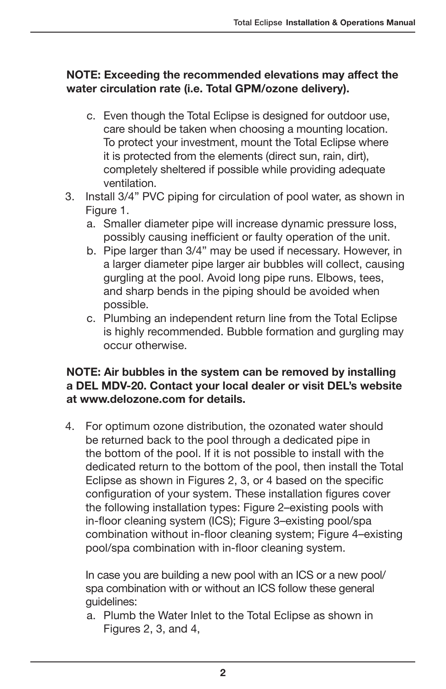#### NOTE: Exceeding the recommended elevations may affect the water circulation rate (i.e. Total GPM/ozone delivery).

- c. Even though the Total Eclipse is designed for outdoor use, care should be taken when choosing a mounting location. To protect your investment, mount the Total Eclipse where it is protected from the elements (direct sun, rain, dirt), completely sheltered if possible while providing adequate ventilation.
- 3. Install 3/4" PVC piping for circulation of pool water, as shown in Figure 1.
	- a. Smaller diameter pipe will increase dynamic pressure loss, possibly causing inefficient or faulty operation of the unit.
	- b. Pipe larger than 3/4" may be used if necessary. However, in a larger diameter pipe larger air bubbles will collect, causing gurgling at the pool. Avoid long pipe runs. Elbows, tees, and sharp bends in the piping should be avoided when possible.
	- c. Plumbing an independent return line from the Total Eclipse is highly recommended. Bubble formation and gurgling may occur otherwise.

#### NOTE: Air bubbles in the system can be removed by installing a DEL MDV-20. Contact your local dealer or visit DEL's website at www.delozone.com for details.

4. For optimum ozone distribution, the ozonated water should be returned back to the pool through a dedicated pipe in the bottom of the pool. If it is not possible to install with the dedicated return to the bottom of the pool, then install the Total Eclipse as shown in Figures 2, 3, or 4 based on the specific configuration of your system. These installation figures cover the following installation types: Figure 2–existing pools with in-floor cleaning system (ICS); Figure 3–existing pool/spa combination without in-floor cleaning system; Figure 4–existing pool/spa combination with in-floor cleaning system.

In case you are building a new pool with an ICS or a new pool/ spa combination with or without an ICS follow these general guidelines:

a. Plumb the Water Inlet to the Total Eclipse as shown in Figures 2, 3, and 4,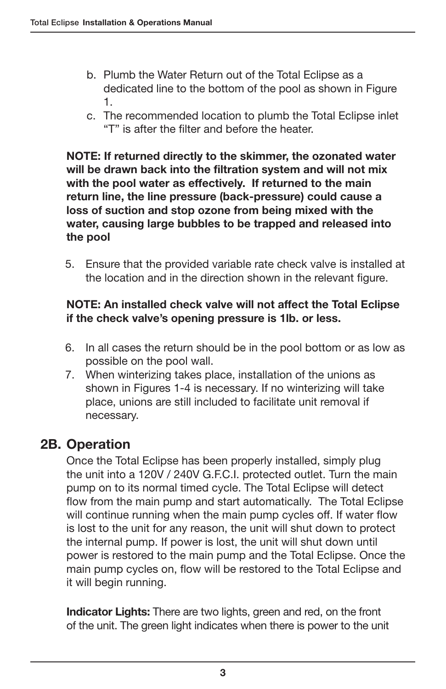- b. Plumb the Water Return out of the Total Eclipse as a dedicated line to the bottom of the pool as shown in Figure 1.
- c. The recommended location to plumb the Total Eclipse inlet "T" is after the filter and before the heater.

NOTE: If returned directly to the skimmer, the ozonated water will be drawn back into the filtration system and will not mix with the pool water as effectively. If returned to the main return line, the line pressure (back-pressure) could cause a loss of suction and stop ozone from being mixed with the water, causing large bubbles to be trapped and released into the pool

5. Ensure that the provided variable rate check valve is installed at the location and in the direction shown in the relevant figure.

#### NOTE: An installed check valve will not affect the Total Eclipse if the check valve's opening pressure is 1lb. or less.

- 6. In all cases the return should be in the pool bottom or as low as possible on the pool wall.
- 7. When winterizing takes place, installation of the unions as shown in Figures 1-4 is necessary. If no winterizing will take place, unions are still included to facilitate unit removal if necessary.

## 2B. Operation

Once the Total Eclipse has been properly installed, simply plug the unit into a 120V / 240V G.F.C.I. protected outlet. Turn the main pump on to its normal timed cycle. The Total Eclipse will detect flow from the main pump and start automatically. The Total Eclipse will continue running when the main pump cycles off. If water flow is lost to the unit for any reason, the unit will shut down to protect the internal pump. If power is lost, the unit will shut down until power is restored to the main pump and the Total Eclipse. Once the main pump cycles on, flow will be restored to the Total Eclipse and it will begin running.

Indicator Lights: There are two lights, green and red, on the front of the unit. The green light indicates when there is power to the unit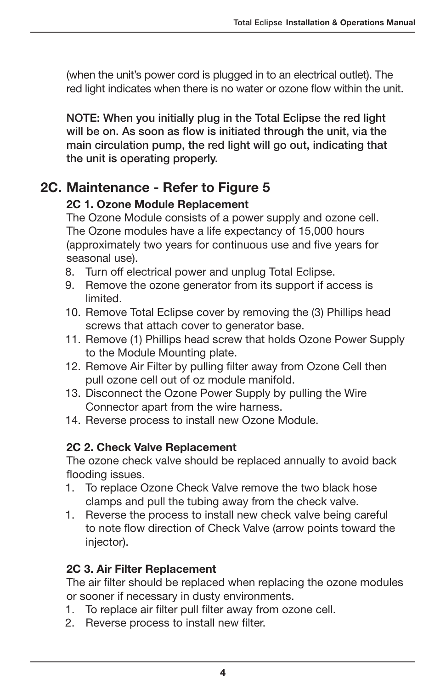(when the unit's power cord is plugged in to an electrical outlet). The red light indicates when there is no water or ozone flow within the unit.

NOTE: When you initially plug in the Total Eclipse the red light will be on. As soon as flow is initiated through the unit, via the main circulation pump, the red light will go out, indicating that the unit is operating properly.

#### 2C. Maintenance - Refer to Figure 5

#### 2C 1. Ozone Module Replacement

The Ozone Module consists of a power supply and ozone cell. The Ozone modules have a life expectancy of 15,000 hours (approximately two years for continuous use and five years for seasonal use).

- 8. Turn off electrical power and unplug Total Eclipse.
- 9. Remove the ozone generator from its support if access is limited.
- 10. Remove Total Eclipse cover by removing the (3) Phillips head screws that attach cover to generator base.
- 11. Remove (1) Phillips head screw that holds Ozone Power Supply to the Module Mounting plate.
- 12. Remove Air Filter by pulling filter away from Ozone Cell then pull ozone cell out of oz module manifold.
- 13. Disconnect the Ozone Power Supply by pulling the Wire Connector apart from the wire harness.
- 14. Reverse process to install new Ozone Module.

#### 2C 2. Check Valve Replacement

The ozone check valve should be replaced annually to avoid back flooding issues.

- 1. To replace Ozone Check Valve remove the two black hose clamps and pull the tubing away from the check valve.
- 1. Reverse the process to install new check valve being careful to note flow direction of Check Valve (arrow points toward the injector).

#### 2C 3. Air Filter Replacement

The air filter should be replaced when replacing the ozone modules or sooner if necessary in dusty environments.

- 1. To replace air filter pull filter away from ozone cell.
- 2. Reverse process to install new filter.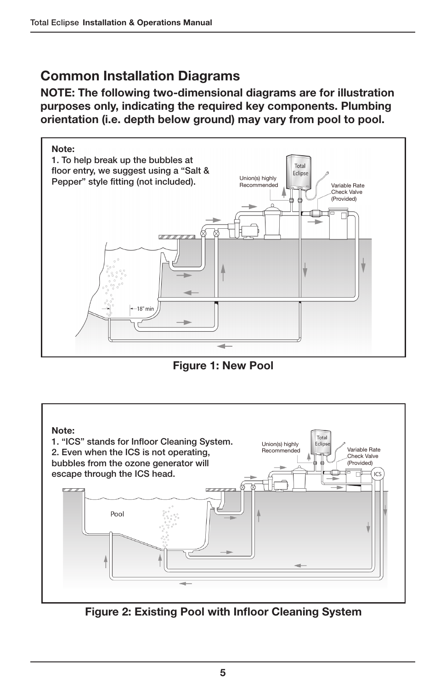## Common Installation Diagrams

NOTE: The following two-dimensional diagrams are for illustration purposes only, indicating the required key components. Plumbing orientation (i.e. depth below ground) may vary from pool to pool.



Figure 1: New Pool



Figure 2: Existing Pool with Infloor Cleaning System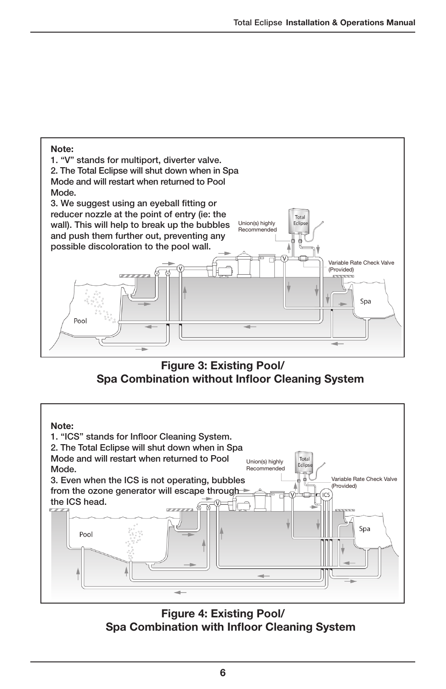

Figure 3: Existing Pool/ Spa Combination without Infloor Cleaning System



Figure 4: Existing Pool/ Spa Combination with Infloor Cleaning System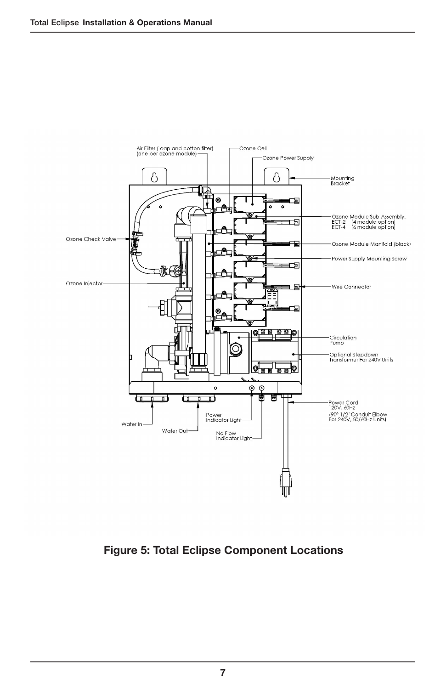

Figure 5: Total Eclipse Component Locations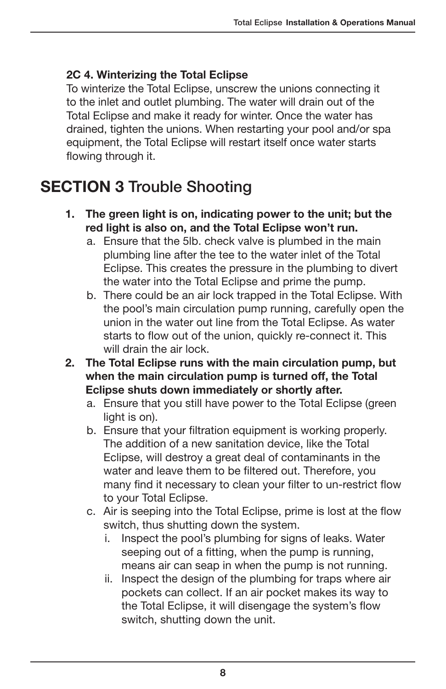#### 2C 4. Winterizing the Total Eclipse

To winterize the Total Eclipse, unscrew the unions connecting it to the inlet and outlet plumbing. The water will drain out of the Total Eclipse and make it ready for winter. Once the water has drained, tighten the unions. When restarting your pool and/or spa equipment, the Total Eclipse will restart itself once water starts flowing through it.

## SECTION 3 Trouble Shooting

- 1. The green light is on, indicating power to the unit; but the red light is also on, and the Total Eclipse won't run.
	- a. Ensure that the 5lb. check valve is plumbed in the main plumbing line after the tee to the water inlet of the Total Eclipse. This creates the pressure in the plumbing to divert the water into the Total Eclipse and prime the pump.
	- b. There could be an air lock trapped in the Total Eclipse. With the pool's main circulation pump running, carefully open the union in the water out line from the Total Eclipse. As water starts to flow out of the union, quickly re-connect it. This will drain the air lock
- 2. The Total Eclipse runs with the main circulation pump, but when the main circulation pump is turned off, the Total Eclipse shuts down immediately or shortly after.
	- a. Ensure that you still have power to the Total Eclipse (green light is on).
	- b. Ensure that your filtration equipment is working properly. The addition of a new sanitation device, like the Total Eclipse, will destroy a great deal of contaminants in the water and leave them to be filtered out. Therefore, you many find it necessary to clean your filter to un-restrict flow to your Total Eclipse.
	- c. Air is seeping into the Total Eclipse, prime is lost at the flow switch, thus shutting down the system.
		- i. Inspect the pool's plumbing for signs of leaks. Water seeping out of a fitting, when the pump is running, means air can seap in when the pump is not running.
		- ii. Inspect the design of the plumbing for traps where air pockets can collect. If an air pocket makes its way to the Total Eclipse, it will disengage the system's flow switch, shutting down the unit.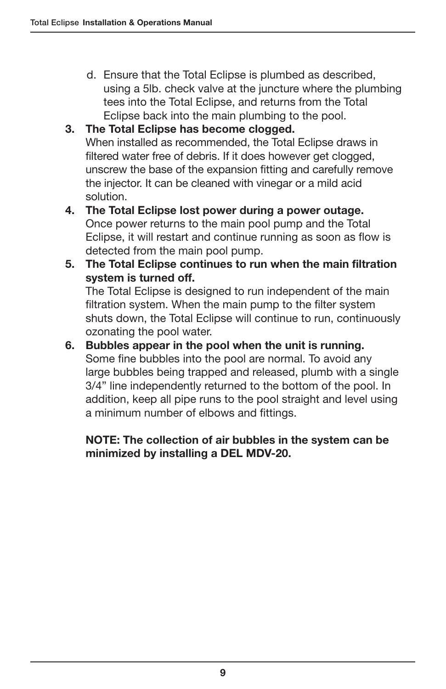d. Ensure that the Total Eclipse is plumbed as described, using a 5lb. check valve at the juncture where the plumbing tees into the Total Eclipse, and returns from the Total Eclipse back into the main plumbing to the pool.

#### 3. The Total Eclipse has become clogged.

When installed as recommended, the Total Eclipse draws in filtered water free of debris. If it does however get clogged, unscrew the base of the expansion fitting and carefully remove the injector. It can be cleaned with vinegar or a mild acid solution.

- 4. The Total Eclipse lost power during a power outage. Once power returns to the main pool pump and the Total Eclipse, it will restart and continue running as soon as flow is detected from the main pool pump.
- 5. The Total Eclipse continues to run when the main filtration system is turned off.

The Total Eclipse is designed to run independent of the main filtration system. When the main pump to the filter system shuts down, the Total Eclipse will continue to run, continuously ozonating the pool water.

6. Bubbles appear in the pool when the unit is running. Some fine bubbles into the pool are normal. To avoid any large bubbles being trapped and released, plumb with a single 3/4" line independently returned to the bottom of the pool. In addition, keep all pipe runs to the pool straight and level using a minimum number of elbows and fittings.

#### NOTE: The collection of air bubbles in the system can be minimized by installing a DEL MDV-20.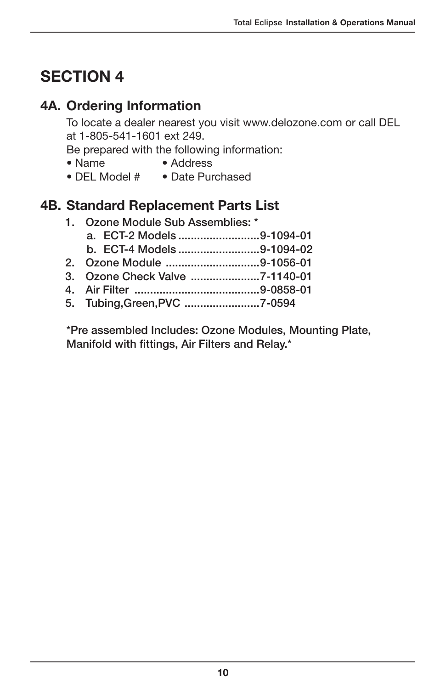# SECTION 4

## 4A. Ordering Information

To locate a dealer nearest you visit www.delozone.com or call DEL at 1-805-541-1601 ext 249.

Be prepared with the following information:

- Name Address
- DEL Model # Date Purchased

#### 4B. Standard Replacement Parts List

1. Ozone Module Sub Assemblies: \* a. ECT-2 Models ..........................9-1094-01 b. ECT-4 Models ..........................9-1094-02 2. Ozone Module ..............................9-1056-01 3. Ozone Check Valve ......................7-1140-01 4. Air Filter ........................................9-0858-01 5. Tubing,Green,PVC ........................7-0594

\*Pre assembled Includes: Ozone Modules, Mounting Plate, Manifold with fittings, Air Filters and Relay.\*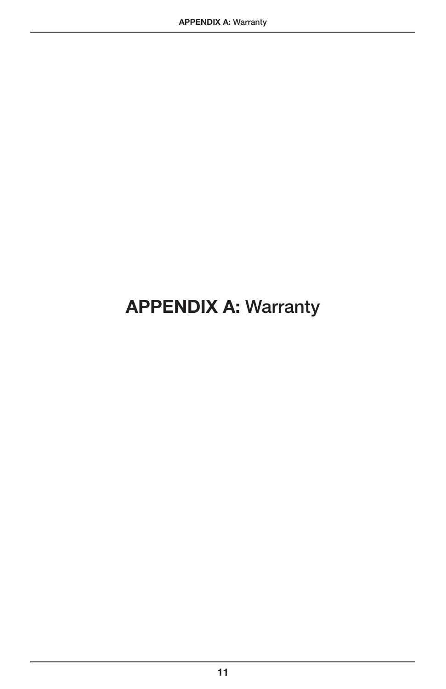# APPENDIX A: Warranty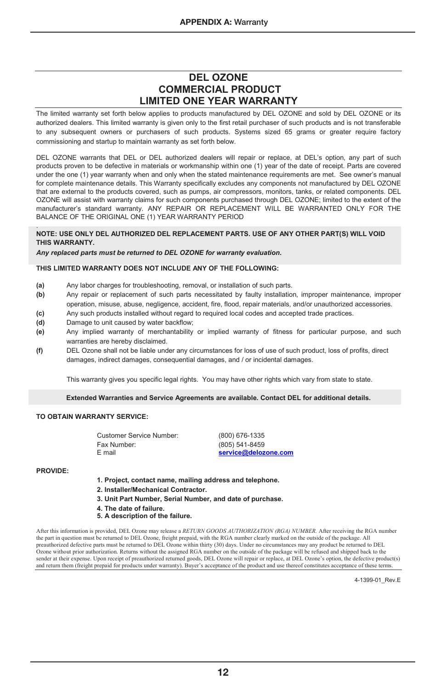#### **DEL OZONE COMMERCIAL PRODUCT LIMITED ONE YEAR WARRANTY**

The limited warranty set forth below applies to products manufactured by DEL OZONE and sold by DEL OZONE or its authorized dealers. This limited warranty is given only to the first retail purchaser of such products and is not transferable to any subsequent owners or purchasers of such products. Systems sized 65 grams or greater require factory commissioning and startup to maintain warranty as set forth below.

DEL OZONE warrants that DEL or DEL authorized dealers will repair or replace, at DEL's option, any part of such products proven to be defective in materials or workmanship within one (1) year of the date of receipt. Parts are covered under the one (1) year warranty when and only when the stated maintenance requirements are met. See owner's manual for complete maintenance details. This Warranty specifically excludes any components not manufactured by DEL OZONE that are external to the products covered, such as pumps, air compressors, monitors, tanks, or related components. DEL OZONE will assist with warranty claims for such components purchased through DEL OZONE; limited to the extent of the manufacturer's standard warranty. ANY REPAIR OR REPLACEMENT WILL BE WARRANTED ONLY FOR THE BALANCE OF THE ORIGINAL ONE (1) YEAR WARRANTY PERIOD

#### . **NOTE: USE ONLY DEL AUTHORIZED DEL REPLACEMENT PARTS. USE OF ANY OTHER PART(S) WILL VOID THIS WARRANTY.**

#### *Any replaced parts must be returned to DEL OZONE for warranty evaluation.*

#### **THIS LIMITED WARRANTY DOES NOT INCLUDE ANY OF THE FOLLOWING:**

- **(a)** Any labor charges for troubleshooting, removal, or installation of such parts.
- **(b)** Any repair or replacement of such parts necessitated by faulty installation, improper maintenance, improper operation, misuse, abuse, negligence, accident, fire, flood, repair materials, and/or unauthorized accessories.
- **(c)** Any such products installed without regard to required local codes and accepted trade practices.
- **(d)** Damage to unit caused by water backflow;
- **(e)** Any implied warranty of merchantability or implied warranty of fitness for particular purpose, and such warranties are hereby disclaimed.
- **(f)** DEL Ozone shall not be liable under any circumstances for loss of use of such product, loss of profits, direct damages, indirect damages, consequential damages, and / or incidental damages.

This warranty gives you specific legal rights. You may have other rights which vary from state to state.

#### **Extended Warranties and Service Agreements are available. Contact DEL for additional details.**

#### **TO OBTAIN WARRANTY SERVICE:**

| Customer Service Number: | (800) 676-1335       |  |
|--------------------------|----------------------|--|
| Fax Number:              | (805) 541-8459       |  |
| E mail                   | service@delozone.com |  |

#### **PROVIDE:**

- **1. Project, contact name, mailing address and telephone.**
- **2. Installer/Mechanical Contractor.**
- **3. Unit Part Number, Serial Number, and date of purchase.**
- **4. The date of failure.**
- **5. A description of the failure.**

After this information is provided, DEL Ozone may release a *RETURN GOODS AUTHORIZATION (RGA) NUMBER.* After receiving the RGA number the part in question must be returned to DEL Ozone, freight prepaid, with the RGA number clearly marked on the outside of the package. All<br>preauthorized defective parts must be returned to DEL Ozone within thirty (30) days Ozone without prior authorization. Returns without the assigned RGA number on the outside of the package will be refused and shipped back to the sender at their expense. Upon receipt of preauthorized returned goods, DEL Ozone will repair or replace, at DEL Ozone's option, the defective product(s) and return them (freight prepaid for products under warranty). Buyer's acceptance of the product and use thereof constitutes acceptance of these terms.

4-1399-01\_Rev.E